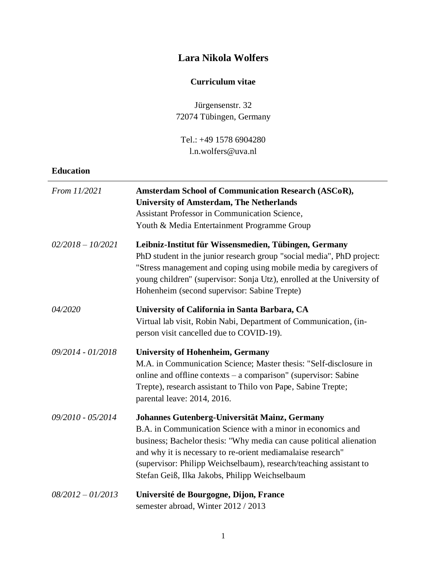# **Lara Nikola Wolfers**

## **Curriculum vitae**

Jürgensenstr. 32 72074 Tübingen, Germany

Tel.: +49 1578 6904280 l.n.wolfers@uva.nl

## **Education**

| From 11/2021        | <b>Amsterdam School of Communication Research (ASCoR),</b><br><b>University of Amsterdam, The Netherlands</b><br><b>Assistant Professor in Communication Science,</b><br>Youth & Media Entertainment Programme Group                                                                                                                                                        |
|---------------------|-----------------------------------------------------------------------------------------------------------------------------------------------------------------------------------------------------------------------------------------------------------------------------------------------------------------------------------------------------------------------------|
| $02/2018 - 10/2021$ | Leibniz-Institut für Wissensmedien, Tübingen, Germany<br>PhD student in the junior research group "social media", PhD project:<br>"Stress management and coping using mobile media by caregivers of<br>young children" (supervisor: Sonja Utz), enrolled at the University of<br>Hohenheim (second supervisor: Sabine Trepte)                                               |
| 04/2020             | University of California in Santa Barbara, CA<br>Virtual lab visit, Robin Nabi, Department of Communication, (in-<br>person visit cancelled due to COVID-19).                                                                                                                                                                                                               |
| 09/2014 - 01/2018   | <b>University of Hohenheim, Germany</b><br>M.A. in Communication Science; Master thesis: "Self-disclosure in<br>online and offline contexts $-$ a comparison" (supervisor: Sabine<br>Trepte), research assistant to Thilo von Pape, Sabine Trepte;<br>parental leave: 2014, 2016.                                                                                           |
| 09/2010 - 05/2014   | Johannes Gutenberg-Universität Mainz, Germany<br>B.A. in Communication Science with a minor in economics and<br>business; Bachelor thesis: "Why media can cause political alienation<br>and why it is necessary to re-orient mediamalaise research"<br>(supervisor: Philipp Weichselbaum), research/teaching assistant to<br>Stefan Geiß, Ilka Jakobs, Philipp Weichselbaum |
| $08/2012 - 01/2013$ | Université de Bourgogne, Dijon, France<br>semester abroad, Winter 2012 / 2013                                                                                                                                                                                                                                                                                               |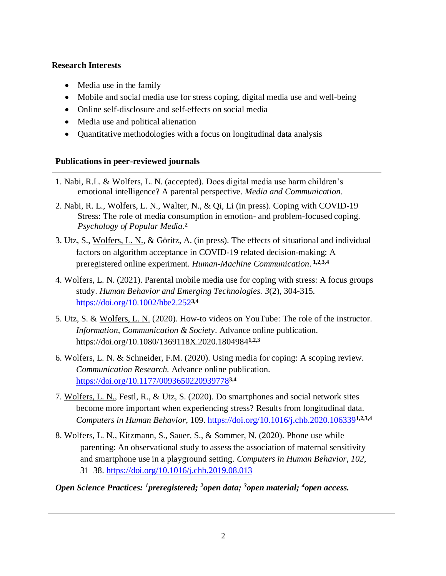### **Research Interests**

- Media use in the family
- Mobile and social media use for stress coping, digital media use and well-being
- Online self-disclosure and self-effects on social media
- Media use and political alienation
- Quantitative methodologies with a focus on longitudinal data analysis

## **Publications in peer-reviewed journals**

- 1. Nabi, R.L. & Wolfers, L. N. (accepted). Does digital media use harm children's emotional intelligence? A parental perspective. *Media and Communication*.
- 2. Nabi, R. L., Wolfers, L. N., Walter, N., & Qi, Li (in press). Coping with COVID-19 Stress: The role of media consumption in emotion- and problem-focused coping. *Psychology of Popular Media*. **2**
- 3. Utz, S., Wolfers, L. N., & Göritz, A. (in press). The effects of situational and individual factors on algorithm acceptance in COVID-19 related decision-making: A preregistered online experiment. *Human-Machine Communication*. **1,2,3,4**
- 4. Wolfers, L. N. (2021). Parental mobile media use for coping with stress: A focus groups study. *Human Behavior and Emerging Technologies. 3*(2), 304-315*.*  <https://doi.org/10.1002/hbe2.252>**3,4**
- 5. Utz, S. & Wolfers, L. N. (2020). How-to videos on YouTube: The role of the instructor. *Information, Communication & Society*. Advance online publication. <https://doi.org/10.1080/1369118X.2020.1804984>**1,2,3**
- 6. Wolfers, L. N. & Schneider, F.M. (2020). Using media for coping: A scoping review. *Communication Research.* Advance online publication. <https://doi.org/10.1177/0093650220939778>**3,4**
- 7. Wolfers, L. N., Festl, R., & Utz, S. (2020). Do smartphones and social network sites become more important when experiencing stress? Results from longitudinal data. *Computers in Human Behavior*, 109.<https://doi.org/10.1016/j.chb.2020.106339>**1,2,3,4**
- 8. Wolfers, L. N., Kitzmann, S., Sauer, S., & Sommer, N. (2020). Phone use while parenting: An observational study to assess the association of maternal sensitivity and smartphone use in a playground setting. *Computers in Human Behavior*, *102*, 31–38.<https://doi.org/10.1016/j.chb.2019.08.013>
- *Open Science Practices: 1preregistered; 2open data; 3open material; 4open access.*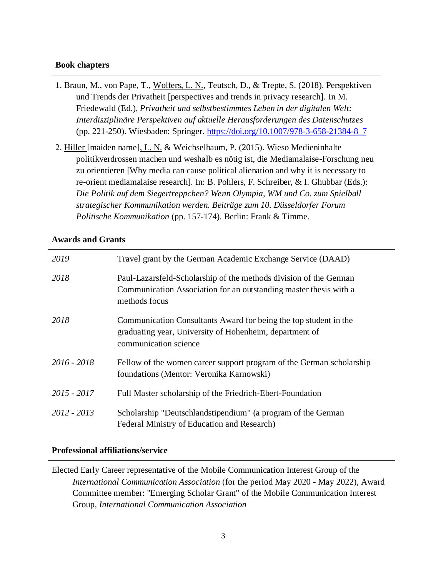#### **Book chapters**

- 1. Braun, M., von Pape, T., Wolfers, L. N., Teutsch, D., & Trepte, S. (2018). Perspektiven und Trends der Privatheit [perspectives and trends in privacy research]. In M. Friedewald (Ed.), *Privatheit und selbstbestimmtes Leben in der digitalen Welt: Interdisziplinäre Perspektiven auf aktuelle Herausforderungen des Datenschutzes* (pp. 221-250). Wiesbaden: Springer. [https://doi.org/10.1007/978-3-658-21384-8\\_7](https://doi.org/10.1007/978-3-658-21384-8_7)
- 2. Hiller [maiden name], L. N. & Weichselbaum, P. (2015). Wieso Medieninhalte politikverdrossen machen und weshalb es nötig ist, die Mediamalaise-Forschung neu zu orientieren [Why media can cause political alienation and why it is necessary to re-orient mediamalaise research]. In: B. Pohlers, F. Schreiber, & I. Ghubbar (Eds.): *Die Politik auf dem Siegertreppchen? Wenn Olympia, WM und Co. zum Spielball strategischer Kommunikation werden. Beiträge zum 10. Düsseldorfer Forum Politische Kommunikation* (pp. 157-174). Berlin: Frank & Timme.

#### **Awards and Grants**

| 2019          | Travel grant by the German Academic Exchange Service (DAAD)                                                                                             |
|---------------|---------------------------------------------------------------------------------------------------------------------------------------------------------|
| 2018          | Paul-Lazarsfeld-Scholarship of the methods division of the German<br>Communication Association for an outstanding master thesis with a<br>methods focus |
| 2018          | Communication Consultants Award for being the top student in the<br>graduating year, University of Hohenheim, department of<br>communication science    |
| $2016 - 2018$ | Fellow of the women career support program of the German scholarship<br>foundations (Mentor: Veronika Karnowski)                                        |
| $2015 - 2017$ | Full Master scholarship of the Friedrich-Ebert-Foundation                                                                                               |
| 2012 - 2013   | Scholarship "Deutschlandstipendium" (a program of the German<br>Federal Ministry of Education and Research)                                             |

### **Professional affiliations/service**

Elected Early Career representative of the Mobile Communication Interest Group of the *International Communication Association* (for the period May 2020 - May 2022), Award Committee member: "Emerging Scholar Grant" of the Mobile Communication Interest Group, *International Communication Association*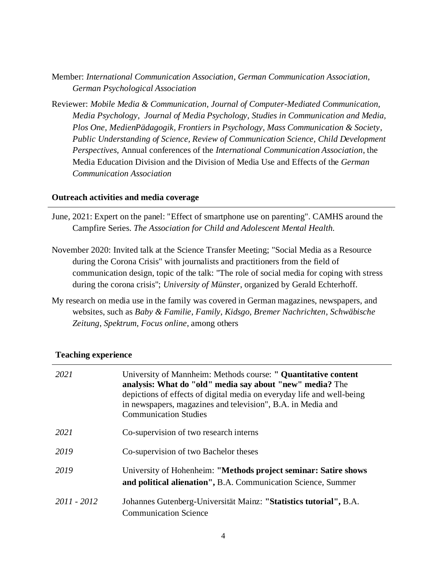- Member: *International Communication Association*, *German Communication Association, German Psychological Association*
- Reviewer: *Mobile Media & Communication, Journal of Computer-Mediated Communication, Media Psychology*, *Journal of Media Psychology, Studies in Communication and Media, Plos One, MedienPädagogik, Frontiers in Psychology, Mass Communication & Society, Public Understanding of Science, Review of Communication Science, Child Development Perspectives,* Annual conferences of the *International Communication Association*, the Media Education Division and the Division of Media Use and Effects of the *German Communication Association*

#### **Outreach activities and media coverage**

- June, 2021: Expert on the panel: "Effect of smartphone use on parenting". CAMHS around the Campfire Series. *The Association for Child and Adolescent Mental Health.*
- November 2020: Invited talk at the Science Transfer Meeting; "Social Media as a Resource during the Corona Crisis" with journalists and practitioners from the field of communication design, topic of the talk: "The role of social media for coping with stress during the corona crisis"; *University of Münster*, organized by Gerald Echterhoff.
- My research on media use in the family was covered in German magazines, newspapers, and websites, such as *Baby & Familie*, *Family*, *Kidsgo, Bremer Nachrichten*, *Schwäbische Zeitung*, *Spektrum*, *Focus online*, among others

| 2021        | University of Mannheim: Methods course: " Quantitative content<br>analysis: What do "old" media say about "new" media? The<br>depictions of effects of digital media on everyday life and well-being<br>in newspapers, magazines and television", B.A. in Media and<br><b>Communication Studies</b> |
|-------------|-----------------------------------------------------------------------------------------------------------------------------------------------------------------------------------------------------------------------------------------------------------------------------------------------------|
| 2021        | Co-supervision of two research interns                                                                                                                                                                                                                                                              |
| 2019        | Co-supervision of two Bachelor theses                                                                                                                                                                                                                                                               |
| 2019        | University of Hohenheim: "Methods project seminar: Satire shows<br>and political alienation", B.A. Communication Science, Summer                                                                                                                                                                    |
| 2011 - 2012 | Johannes Gutenberg-Universität Mainz: "Statistics tutorial", B.A.<br><b>Communication Science</b>                                                                                                                                                                                                   |

#### **Teaching experience**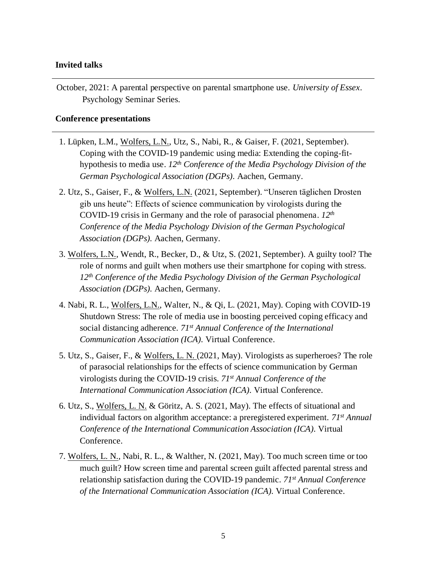#### **Invited talks**

October, 2021: A parental perspective on parental smartphone use. *University of Essex*. Psychology Seminar Series.

#### **Conference presentations**

- 1. Lüpken, L.M., Wolfers, L.N., Utz, S., Nabi, R., & Gaiser, F. (2021, September). Coping with the COVID-19 pandemic using media: Extending the coping-fithypothesis to media use. *12th Conference of the Media Psychology Division of the German Psychological Association (DGPs).* Aachen, Germany.
- 2. Utz, S., Gaiser, F., & Wolfers, L.N. (2021, September). "Unseren täglichen Drosten gib uns heute": Effects of science communication by virologists during the COVID-19 crisis in Germany and the role of parasocial phenomena. *12th Conference of the Media Psychology Division of the German Psychological Association (DGPs).* Aachen, Germany.
- 3. Wolfers, L.N., Wendt, R., Becker, D., & Utz, S. (2021, September). A guilty tool? The role of norms and guilt when mothers use their smartphone for coping with stress. *12th Conference of the Media Psychology Division of the German Psychological Association (DGPs).* Aachen, Germany.
- 4. Nabi, R. L., Wolfers, L.N., Walter, N., & Qi, L. (2021, May). Coping with COVID-19 Shutdown Stress: The role of media use in boosting perceived coping efficacy and social distancing adherence. *71st Annual Conference of the International Communication Association (ICA).* Virtual Conference.
- 5. Utz, S., Gaiser, F., & Wolfers, L. N. (2021, May). Virologists as superheroes? The role of parasocial relationships for the effects of science communication by German virologists during the COVID-19 crisis. *71st Annual Conference of the International Communication Association (ICA).* Virtual Conference.
- 6. Utz, S., Wolfers, L. N. & Göritz, A. S. (2021, May). The effects of situational and individual factors on algorithm acceptance: a preregistered experiment. *71st Annual Conference of the International Communication Association (ICA).* Virtual Conference.
- 7. Wolfers, L. N., Nabi, R. L., & Walther, N. (2021, May). Too much screen time or too much guilt? How screen time and parental screen guilt affected parental stress and relationship satisfaction during the COVID-19 pandemic. *71st Annual Conference of the International Communication Association (ICA).* Virtual Conference.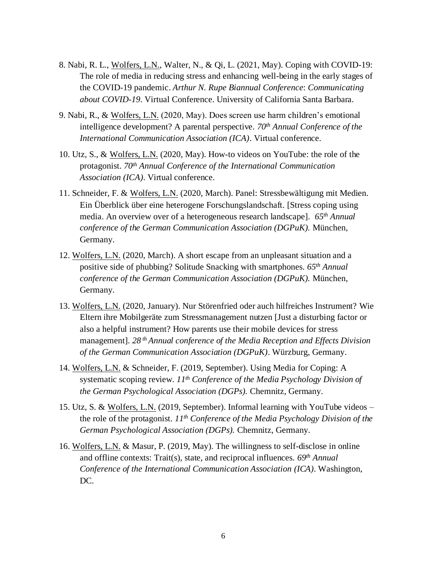- 8. Nabi, R. L., Wolfers, L.N., Walter, N., & Qi, L. (2021, May). Coping with COVID-19: The role of media in reducing stress and enhancing well-being in the early stages of the COVID-19 pandemic. *Arthur N. Rupe Biannual Conference*: *Communicating about COVID-19*. Virtual Conference. University of California Santa Barbara.
- 9. Nabi, R., & Wolfers, L.N. (2020, May). Does screen use harm children's emotional intelligence development? A parental perspective. *70th Annual Conference of the International Communication Association (ICA)*. Virtual conference.
- 10. Utz, S., & Wolfers, L.N. (2020, May). How-to videos on YouTube: the role of the protagonist. *70 th Annual Conference of the International Communication Association (ICA)*. Virtual conference.
- 11. Schneider, F. & Wolfers, L.N. (2020, March). Panel: Stressbewältigung mit Medien. Ein Überblick über eine heterogene Forschungslandschaft. [Stress coping using media. An overview over of a heterogeneous research landscape]. *65th Annual conference of the German Communication Association (DGPuK).* München, Germany.
- 12. Wolfers, L.N. (2020, March). A short escape from an unpleasant situation and a positive side of phubbing? Solitude Snacking with smartphones. *65th Annual conference of the German Communication Association (DGPuK).* München, Germany.
- 13. Wolfers, L.N. (2020, January). Nur Störenfried oder auch hilfreiches Instrument? Wie Eltern ihre Mobilgeräte zum Stressmanagement nutzen [Just a disturbing factor or also a helpful instrument? How parents use their mobile devices for stress management]. *28 th Annual conference of the Media Reception and Effects Division of the German Communication Association (DGPuK)*. Würzburg, Germany.
- 14. Wolfers, L.N. & Schneider, F. (2019, September). Using Media for Coping: A systematic scoping review. *11th Conference of the Media Psychology Division of the German Psychological Association (DGPs).* Chemnitz, Germany.
- 15. Utz, S. & Wolfers, L.N. (2019, September). Informal learning with YouTube videos the role of the protagonist. *11th Conference of the Media Psychology Division of the German Psychological Association (DGPs).* Chemnitz, Germany.
- 16. Wolfers, L.N. & Masur, P. (2019, May). The willingness to self-disclose in online and offline contexts: Trait(s), state, and reciprocal influences. *69th Annual Conference of the International Communication Association (ICA)*. Washington, DC.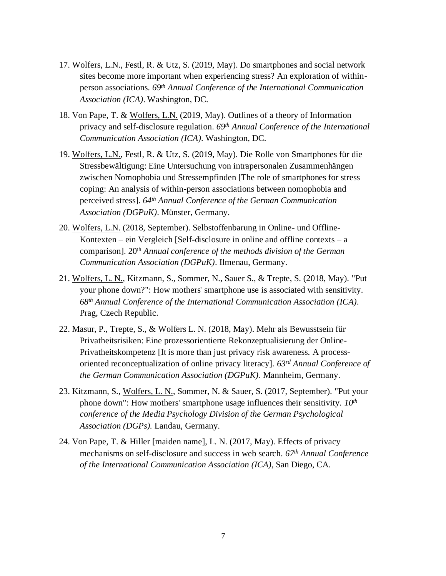- 17. Wolfers, L.N., Festl, R. & Utz, S. (2019, May). Do smartphones and social network sites become more important when experiencing stress? An exploration of withinperson associations. *69th Annual Conference of the International Communication Association (ICA)*. Washington, DC.
- 18. Von Pape, T. & Wolfers, L.N. (2019, May). Outlines of a theory of Information privacy and self-disclosure regulation. *69th Annual Conference of the International Communication Association (ICA)*. Washington, DC.
- 19. Wolfers, L.N., Festl, R. & Utz, S. (2019, May). Die Rolle von Smartphones für die Stressbewältigung: Eine Untersuchung von intrapersonalen Zusammenhängen zwischen Nomophobia und Stressempfinden [The role of smartphones for stress coping: An analysis of within-person associations between nomophobia and perceived stress]. *64th Annual Conference of the German Communication Association (DGPuK)*. Münster, Germany.
- 20. Wolfers, L.N. (2018, September). Selbstoffenbarung in Online- und Offline-Kontexten – ein Vergleich [Self-disclosure in online and offline contexts –  $a$ comparison]. 20<sup>th</sup> *Annual conference of the methods division of the German Communication Association (DGPuK)*. Ilmenau, Germany.
- 21. Wolfers, L. N., Kitzmann, S., Sommer, N., Sauer S., & Trepte, S. (2018, May). "Put your phone down?": How mothers' smartphone use is associated with sensitivity*. 68th Annual Conference of the International Communication Association (ICA)*. Prag, Czech Republic.
- 22. Masur, P., Trepte, S., & Wolfers L. N. (2018, May). Mehr als Bewusstsein für Privatheitsrisiken: Eine prozessorientierte Rekonzeptualisierung der Online-Privatheitskompetenz [It is more than just privacy risk awareness. A processoriented reconceptualization of online privacy literacy]. *63rd Annual Conference of the German Communication Association (DGPuK)*. Mannheim, Germany.
- 23. Kitzmann, S., Wolfers, L. N., Sommer, N. & Sauer, S. (2017, September). "Put your phone down": How mothers' smartphone usage influences their sensitivity. *10th conference of the Media Psychology Division of the German Psychological Association (DGPs).* Landau, Germany.
- 24. Von Pape, T. & Hiller [maiden name], L. N. (2017, May). Effects of privacy mechanisms on self-disclosure and success in web search. *67th Annual Conference of the International Communication Association (ICA)*, San Diego, CA.